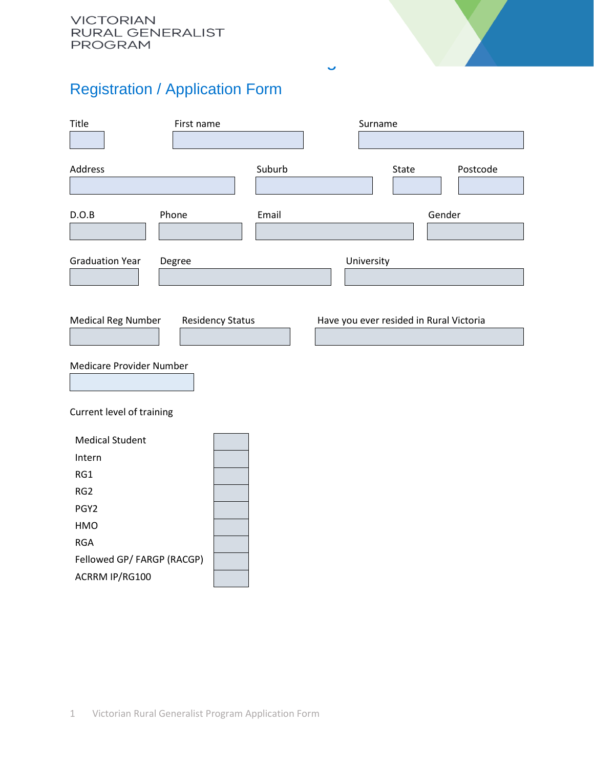## Registration / Application Form

| Title                                        | First name              |        | Surname                                 |        |          |
|----------------------------------------------|-------------------------|--------|-----------------------------------------|--------|----------|
| Address                                      |                         | Suburb | State                                   |        | Postcode |
| D.O.B                                        | Phone                   | Email  |                                         | Gender |          |
| <b>Graduation Year</b>                       | Degree                  |        | University                              |        |          |
| <b>Medical Reg Number</b>                    | <b>Residency Status</b> |        | Have you ever resided in Rural Victoria |        |          |
| Medicare Provider Number                     |                         |        |                                         |        |          |
| Current level of training                    |                         |        |                                         |        |          |
| <b>Medical Student</b><br>Intern             |                         |        |                                         |        |          |
| RG1                                          |                         |        |                                         |        |          |
| RG <sub>2</sub>                              |                         |        |                                         |        |          |
| PGY <sub>2</sub>                             |                         |        |                                         |        |          |
| HMO                                          |                         |        |                                         |        |          |
| <b>RGA</b>                                   |                         |        |                                         |        |          |
| Fellowed GP/ FARGP (RACGP)<br>ACRRM IP/RG100 |                         |        |                                         |        |          |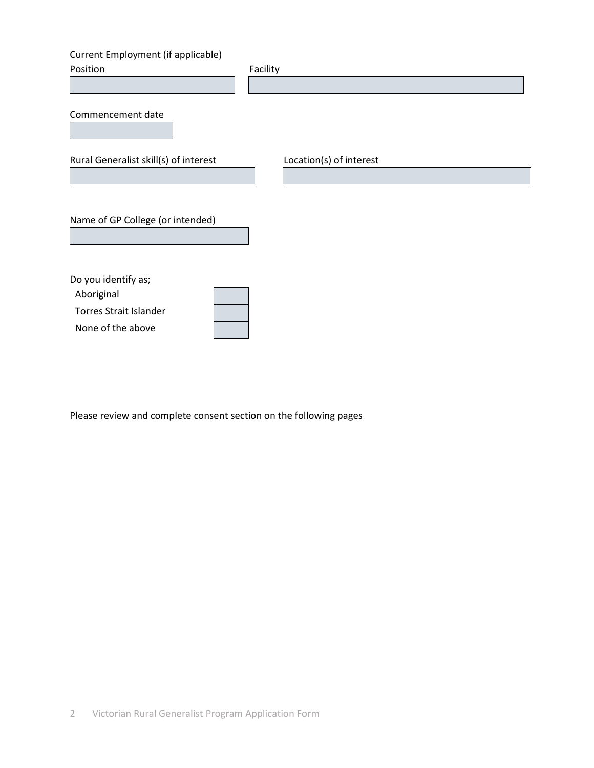## Current Employment (if applicable)

| Position                                                                                | Facility                |
|-----------------------------------------------------------------------------------------|-------------------------|
| Commencement date                                                                       |                         |
| Rural Generalist skill(s) of interest                                                   | Location(s) of interest |
|                                                                                         |                         |
| Name of GP College (or intended)                                                        |                         |
| Do you identify as;<br>Aboriginal<br><b>Torres Strait Islander</b><br>None of the above |                         |

Please review and complete consent section on the following pages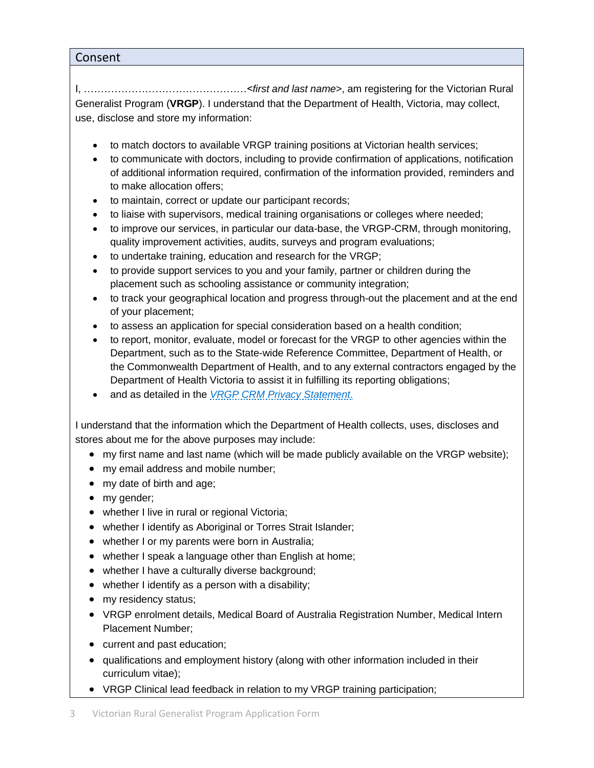## Consent

I, …………………………………………<*first and last name*>, am registering for the Victorian Rural Generalist Program (**VRGP**). I understand that the Department of Health, Victoria, may collect, use, disclose and store my information:

- to match doctors to available VRGP training positions at Victorian health services;
- to communicate with doctors, including to provide confirmation of applications, notification of additional information required, confirmation of the information provided, reminders and to make allocation offers;
- to maintain, correct or update our participant records;
- to liaise with supervisors, medical training organisations or colleges where needed;
- to improve our services, in particular our data-base, the VRGP-CRM, through monitoring, quality improvement activities, audits, surveys and program evaluations;
- to undertake training, education and research for the VRGP;
- to provide support services to you and your family, partner or children during the placement such as schooling assistance or community integration;
- to track your geographical location and progress through-out the placement and at the end of your placement;
- to assess an application for special consideration based on a health condition;
- to report, monitor, evaluate, model or forecast for the VRGP to other agencies within the Department, such as to the State-wide Reference Committee, Department of Health, or the Commonwealth Department of Health, and to any external contractors engaged by the Department of Health Victoria to assist it in fulfilling its reporting obligations;
- and as detailed in the *[VRGP CRM Privacy Statement](https://www.vicruralgeneralist.com.au/privacy-policy)*.

I understand that the information which the Department of Health collects, uses, discloses and stores about me for the above purposes may include:

- my first name and last name (which will be made publicly available on the VRGP website);
- my email address and mobile number;
- my date of birth and age;
- my gender;
- whether I live in rural or regional Victoria;
- whether I identify as Aboriginal or Torres Strait Islander;
- whether I or my parents were born in Australia;
- whether I speak a language other than English at home;
- whether I have a culturally diverse background;
- whether I identify as a person with a disability;
- my residency status;
- VRGP enrolment details, Medical Board of Australia Registration Number, Medical Intern Placement Number;
- current and past education;
- qualifications and employment history (along with other information included in their curriculum vitae);
- VRGP Clinical lead feedback in relation to my VRGP training participation;